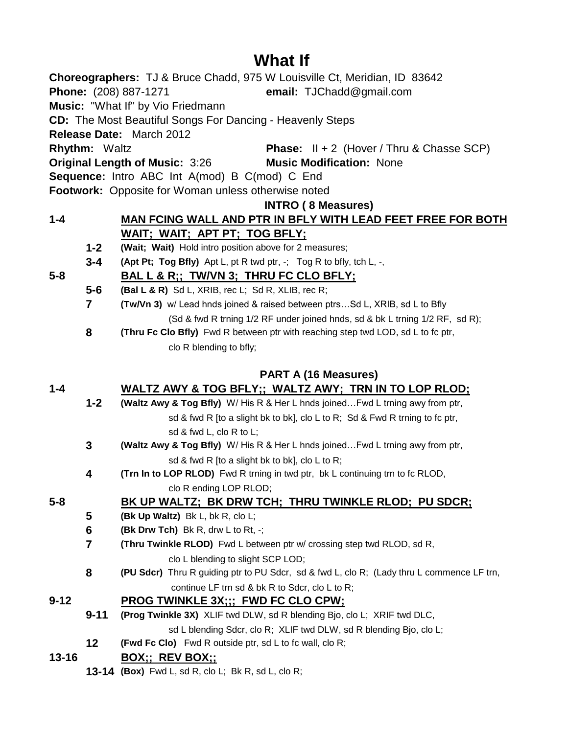# **What If**

|           |                      | Choreographers: TJ & Bruce Chadd, 975 W Louisville Ct, Meridian, ID 83642                 |
|-----------|----------------------|-------------------------------------------------------------------------------------------|
|           |                      | Phone: (208) 887-1271<br>email: TJChadd@gmail.com                                         |
|           |                      | Music: "What If" by Vio Friedmann                                                         |
|           |                      | <b>CD:</b> The Most Beautiful Songs For Dancing - Heavenly Steps                          |
|           |                      | Release Date: March 2012                                                                  |
|           | <b>Rhythm: Waltz</b> | <b>Phase:</b> $II + 2$ (Hover / Thru & Chasse SCP)                                        |
|           |                      | <b>Original Length of Music: 3:26</b><br><b>Music Modification: None</b>                  |
|           |                      | Sequence: Intro ABC Int A(mod) B C(mod) C End                                             |
|           |                      | <b>Footwork:</b> Opposite for Woman unless otherwise noted                                |
|           |                      | <b>INTRO (8 Measures)</b>                                                                 |
| $1 - 4$   |                      | MAN FCING WALL AND PTR IN BFLY WITH LEAD FEET FREE FOR BOTH                               |
|           |                      | WAIT; WAIT; APT PT; TOG BFLY;                                                             |
|           | $1 - 2$              | (Wait; Wait) Hold intro position above for 2 measures;                                    |
|           | $3 - 4$              | (Apt Pt; Tog Bfly) Apt L, pt R twd ptr, -; Tog R to bfly, tch L, -,                       |
| $5-8$     |                      | BAL L & R;; TW/VN 3; THRU FC CLO BFLY;                                                    |
|           | $5-6$                | (Bal L & R) Sd L, XRIB, rec L; Sd R, XLIB, rec R;                                         |
|           | $\overline{7}$       | <b>(Tw/Vn 3)</b> w/ Lead hnds joined & raised between ptrsSd L, XRIB, sd L to Bfly        |
|           |                      | (Sd & fwd R trning 1/2 RF under joined hnds, sd & bk L trning 1/2 RF, sd R);              |
|           | 8                    | (Thru Fc Clo Bfly) Fwd R between ptr with reaching step twd LOD, sd L to fc ptr,          |
|           |                      | clo R blending to bfly;                                                                   |
|           |                      |                                                                                           |
|           |                      | <b>PART A (16 Measures)</b>                                                               |
| $1 - 4$   |                      | WALTZ AWY & TOG BFLY;; WALTZ AWY; TRN IN TO LOP RLOD;                                     |
|           | $1 - 2$              | (Waltz Awy & Tog Bfly) W/ His R & Her L hnds joined Fwd L trning awy from ptr,            |
|           |                      | sd & fwd R [to a slight bk to bk], clo L to R; Sd & Fwd R trning to fc ptr,               |
|           |                      | sd & fwd L, clo R to L;                                                                   |
|           | $\mathbf{3}$         | (Waltz Awy & Tog Bfly) W/ His R & Her L hnds joined Fwd L trning awy from ptr,            |
|           |                      | sd & fwd R [to a slight bk to bk], clo L to R;                                            |
|           | 4                    | (Trn In to LOP RLOD) Fwd R trning in twd ptr, bk L continuing trn to fc RLOD,             |
|           |                      | clo R ending LOP RLOD;                                                                    |
| $5 - 8$   |                      | <u>BK UP WALTZ; BK DRW TCH; THRU TWINKLE RLOD; PU SDCR;</u>                               |
|           | 5                    | (Bk Up Waltz) Bk L, bk R, clo L;                                                          |
|           | $6\phantom{1}6$      | <b>(Bk Drw Tch)</b> Bk R, drw L to Rt, -;                                                 |
|           | $\overline{7}$       | (Thru Twinkle RLOD) Fwd L between ptr w/ crossing step twd RLOD, sd R,                    |
|           |                      | clo L blending to slight SCP LOD;                                                         |
|           | 8                    | (PU Sdcr) Thru R guiding ptr to PU Sdcr, sd & fwd L, clo R; (Lady thru L commence LF trn, |
|           |                      | continue LF trn sd & bk R to Sdcr, clo L to R;                                            |
| $9 - 12$  |                      | <b>PROG TWINKLE 3X;;; FWD FC CLO CPW;</b>                                                 |
|           | $9 - 11$             | (Prog Twinkle 3X) XLIF twd DLW, sd R blending Bjo, clo L; XRIF twd DLC,                   |
|           |                      | sd L blending Sdcr, clo R; XLIF twd DLW, sd R blending Bjo, clo L;                        |
|           | 12 <sub>2</sub>      | <b>(Fwd Fc Clo)</b> Fwd R outside ptr, sd L to fc wall, clo R;                            |
| $13 - 16$ |                      | <b>BOX;; REV BOX;;</b>                                                                    |
|           |                      | <b>13-14 (Box)</b> Fwd L, sd R, clo L; Bk R, sd L, clo R;                                 |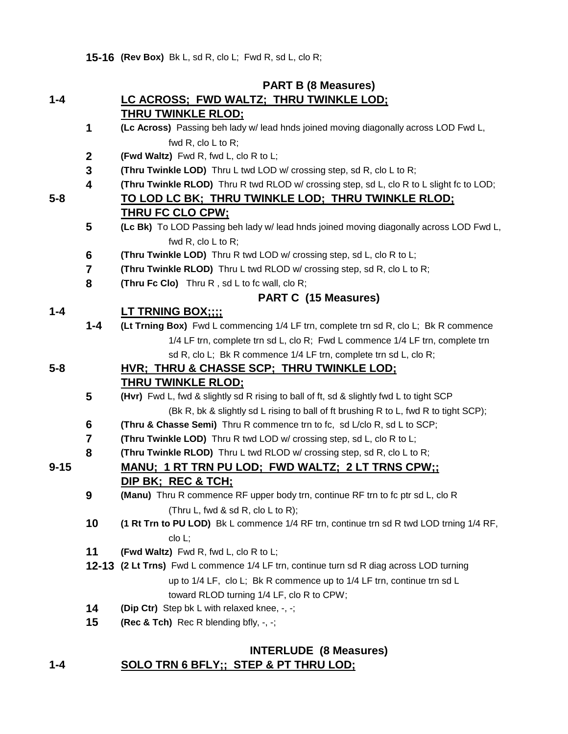**15-16 (Rev Box)** Bk L, sd R, clo L; Fwd R, sd L, clo R;

### **PART B (8 Measures)**

#### **1-4 LC ACROSS; FWD WALTZ; THRU TWINKLE LOD; THRU TWINKLE RLOD;**

- **1 (Lc Across)** Passing beh lady w/ lead hnds joined moving diagonally across LOD Fwd L, fwd R, clo L to R;
- **2 (Fwd Waltz)** Fwd R, fwd L, clo R to L;
- **3 (Thru Twinkle LOD)** Thru L twd LOD w/ crossing step, sd R, clo L to R;
- **4 (Thru Twinkle RLOD)** Thru R twd RLOD w/ crossing step, sd L, clo R to L slight fc to LOD;

#### **5-8 TO LOD LC BK; THRU TWINKLE LOD; THRU TWINKLE RLOD; THRU FC CLO CPW;**

- **5 (Lc Bk)** To LOD Passing beh lady w/ lead hnds joined moving diagonally across LOD Fwd L, fwd R, clo L to R;
- **6 (Thru Twinkle LOD)** Thru R twd LOD w/ crossing step, sd L, clo R to L;
- **7 (Thru Twinkle RLOD)** Thru L twd RLOD w/ crossing step, sd R, clo L to R;
- **8 (Thru Fc Clo)** Thru R , sd L to fc wall, clo R;

### **PART C (15 Measures)**

### **1-4 LT TRNING BOX;;;;**

**1-4 (Lt Trning Box)** Fwd L commencing 1/4 LF trn, complete trn sd R, clo L; Bk R commence 1/4 LF trn, complete trn sd L, clo R; Fwd L commence 1/4 LF trn, complete trn sd R, clo L; Bk R commence 1/4 LF trn, complete trn sd L, clo R;

# **5-8 HVR; THRU & CHASSE SCP; THRU TWINKLE LOD;**

### **THRU TWINKLE RLOD;**

- **5 (Hvr)** Fwd L, fwd & slightly sd R rising to ball of ft, sd & slightly fwd L to tight SCP (Bk R, bk & slightly sd L rising to ball of ft brushing R to L, fwd R to tight SCP);
- **6 (Thru & Chasse Semi)** Thru R commence trn to fc, sd L/clo R, sd L to SCP;
- **7 (Thru Twinkle LOD)** Thru R twd LOD w/ crossing step, sd L, clo R to L;
- **8 (Thru Twinkle RLOD)** Thru L twd RLOD w/ crossing step, sd R, clo L to R;

### **9-15 MANU; 1 RT TRN PU LOD; FWD WALTZ; 2 LT TRNS CPW;; DIP BK; REC & TCH;**

- **9 (Manu)** Thru R commence RF upper body trn, continue RF trn to fc ptr sd L, clo R (Thru L, fwd & sd R, clo L to R);
- **10 (1 Rt Trn to PU LOD)** Bk L commence 1/4 RF trn, continue trn sd R twd LOD trning 1/4 RF, clo L;
- **11 (Fwd Waltz)** Fwd R, fwd L, clo R to L;
- **12-13 (2 Lt Trns)** Fwd L commence 1/4 LF trn, continue turn sd R diag across LOD turning up to 1/4 LF, clo L; Bk R commence up to 1/4 LF trn, continue trn sd L toward RLOD turning 1/4 LF, clo R to CPW;
- **14 (Dip Ctr)** Step bk L with relaxed knee, -, -;
- **15 (Rec & Tch)** Rec R blending bfly, -, -;

### **1-4 SOLO TRN 6 BFLY;; STEP & PT THRU LOD; INTERLUDE (8 Measures)**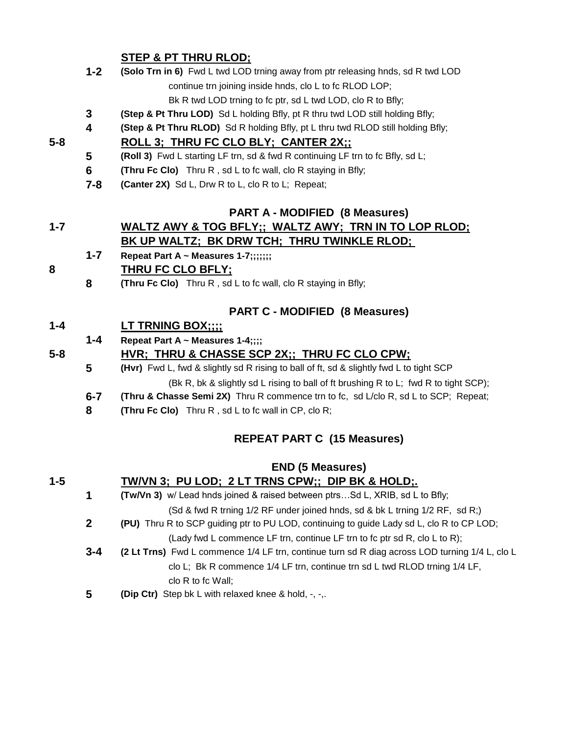### **STEP & PT THRU RLOD;**

|         |         | SIEF & FIINTU KLUD,                                                                     |
|---------|---------|-----------------------------------------------------------------------------------------|
|         | $1 - 2$ | (Solo Trn in 6) Fwd L twd LOD trning away from ptr releasing hnds, sd R twd LOD         |
|         |         | continue trn joining inside hnds, clo L to fc RLOD LOP;                                 |
|         |         | Bk R twd LOD trning to fc ptr, sd L twd LOD, clo R to Bfly;                             |
|         | 3       | (Step & Pt Thru LOD) Sd L holding Bfly, pt R thru twd LOD still holding Bfly;           |
|         | 4       | (Step & Pt Thru RLOD) Sd R holding Bfly, pt L thru twd RLOD still holding Bfly;         |
| 5-8     |         | ROLL 3; THRU FC CLO BLY; CANTER 2X;;                                                    |
|         | 5       | (Roll 3) Fwd L starting LF trn, sd & fwd R continuing LF trn to fc Bfly, sd L;          |
|         | 6       | <b>(Thru Fc Clo)</b> Thru R, sd L to fc wall, clo R staying in Bfly;                    |
|         | $7 - 8$ | (Canter 2X) Sd L, Drw R to L, clo R to L; Repeat;                                       |
|         |         | <b>PART A - MODIFIED (8 Measures)</b>                                                   |
| $1 - 7$ |         | WALTZ AWY & TOG BFLY;; WALTZ AWY; TRN IN TO LOP RLOD;                                   |
|         |         | <b>BK UP WALTZ; BK DRW TCH; THRU TWINKLE RLOD;</b>                                      |
|         | $1 - 7$ | Repeat Part A ~ Measures 1-7;;;;;;;                                                     |
| 8       |         | <b>THRU FC CLO BFLY;</b>                                                                |
|         | 8       | <b>(Thru Fc Clo)</b> Thru R, sd L to fc wall, clo R staying in Bfly;                    |
|         |         | <b>PART C - MODIFIED (8 Measures)</b>                                                   |
| $1 - 4$ |         | <b>LT TRNING BOX;;;;</b>                                                                |
|         | $1 - 4$ | Repeat Part A ~ Measures 1-4;;;;                                                        |
| $5 - 8$ |         | <u>HVR; THRU &amp; CHASSE SCP 2X;; THRU FC CLO CPW;</u>                                 |
|         | 5       | (Hvr) Fwd L, fwd & slightly sd R rising to ball of ft, sd & slightly fwd L to tight SCP |
|         |         | (Bk R, bk & slightly sd L rising to ball of ft brushing R to L; fwd R to tight SCP);    |
|         | $6 - 7$ | (Thru & Chasse Semi 2X) Thru R commence trn to fc, sd L/clo R, sd L to SCP; Repeat;     |
|         | 8       | (Thru Fc Clo) Thru R, sd L to fc wall in CP, clo R;                                     |
|         |         | $DEDEAT DADT C$ (45 Meacural)                                                           |

### **REPEAT PART C (15 Measures)**

|         |              | <b>END (5 Measures)</b>                                                                        |
|---------|--------------|------------------------------------------------------------------------------------------------|
| $1 - 5$ |              | TW/VN 3; PU LOD; 2 LT TRNS CPW;; DIP BK & HOLD;.                                               |
|         | 1            | <b>(Tw/Vn 3)</b> w/ Lead hnds joined & raised between ptrsSd L, XRIB, sd L to Bfly;            |
|         |              | (Sd & fwd R trning 1/2 RF under joined hnds, sd & bk L trning 1/2 RF, sd R;)                   |
|         | $\mathbf{2}$ | (PU) Thru R to SCP guiding ptr to PU LOD, continuing to guide Lady sd L, clo R to CP LOD;      |
|         |              | (Lady fwd L commence LF trn, continue LF trn to fc ptr sd R, clo L to R);                      |
|         | $3 - 4$      | (2 Lt Trns) Fwd L commence 1/4 LF trn, continue turn sd R diag across LOD turning 1/4 L, clo L |
|         |              | clo L; Bk R commence 1/4 LF trn, continue trn sd L twd RLOD trning 1/4 LF,                     |
|         |              | clo $R$ to fc Wall;                                                                            |
|         | 5            | <b>(Dip Ctr)</b> Step bk L with relaxed knee & hold, -, -,.                                    |
|         |              |                                                                                                |